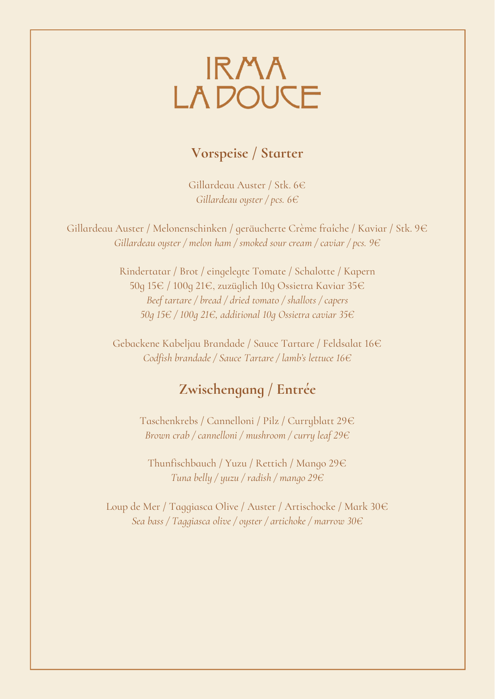## IRMA<br>LA DOUCE

## **Vorspeise / Starter**

Gillardeau Auster / Stk. 6€ *Gillardeau oyster / pcs. 6€*

Gillardeau Auster / Melonenschinken / geräucherte Crème fraîche / Kaviar / Stk. 9€ *Gillardeau oyster / melon ham / smoked sour cream / caviar / pcs. 9€*

> Rindertatar / Brot / eingelegte Tomate / Schalotte / Kapern 50g 15€ / 100g 21€, zuzüglich 10g Ossietra Kaviar 35€ *Beef tartare / bread / dried tomato / shallots / capers 50g 15€ / 100g 21€, additional 10g Ossietra caviar 35€*

Gebackene Kabeljau Brandade / Sauce Tartare / Feldsalat 16€ *Codfish brandade / Sauce Tartare / lamb's lettuce 16€*

## **Zwischengang / Entrée**

Taschenkrebs / Cannelloni / Pilz / Curryblatt 29€ *Brown crab / cannelloni / mushroom / curry leaf 29€*

Thunfischbauch / Yuzu / Rettich / Mango 29€ *Tuna belly / yuzu / radish / mango 29€*

Loup de Mer / Taggiasca Olive / Auster / Artischocke / Mark 30€ *Sea bass / Taggiasca olive / oyster / artichoke / marrow 30€*